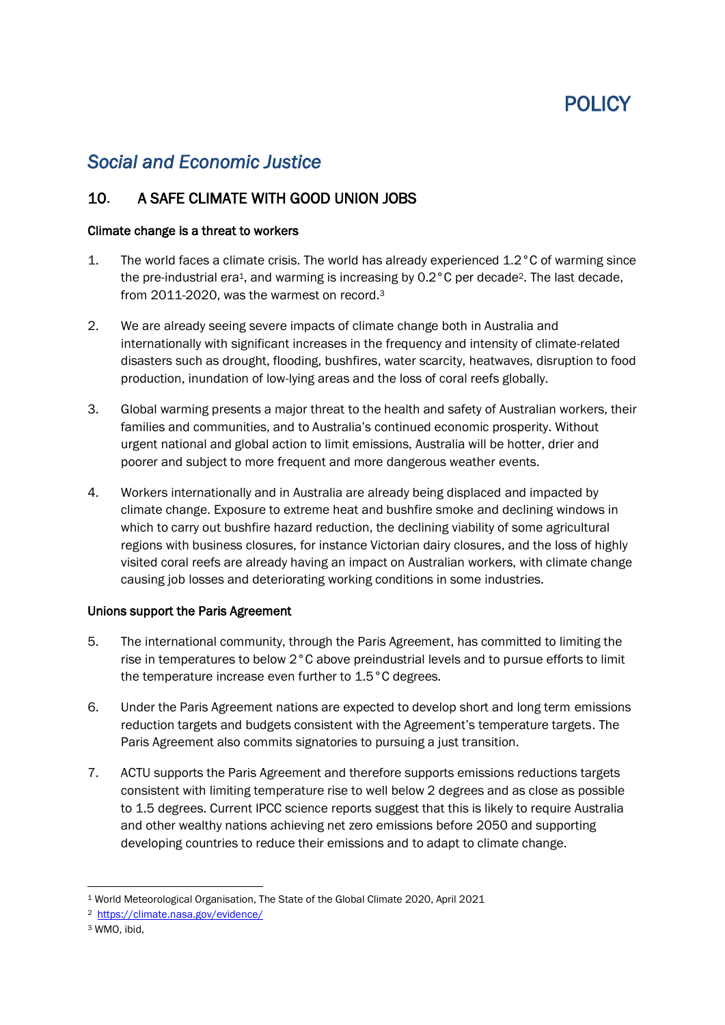# POLICY

## *Social and Economic Justice*

### 10. A SAFE CLIMATE WITH GOOD UNION JOBS

#### Climate change is a threat to workers

- 1. The world faces a climate crisis. The world has already experienced 1.2°C of warming since the pre-industrial era<sup>1</sup>, and warming is increasing by 0.2°C per decade<sup>2</sup>. The last decade, from 2011-2020, was the warmest on record.<sup>3</sup>
- 2. We are already seeing severe impacts of climate change both in Australia and internationally with significant increases in the frequency and intensity of climate-related disasters such as drought, flooding, bushfires, water scarcity, heatwaves, disruption to food production, inundation of low-lying areas and the loss of coral reefs globally.
- 3. Global warming presents a major threat to the health and safety of Australian workers, their families and communities, and to Australia's continued economic prosperity. Without urgent national and global action to limit emissions, Australia will be hotter, drier and poorer and subject to more frequent and more dangerous weather events.
- 4. Workers internationally and in Australia are already being displaced and impacted by climate change. Exposure to extreme heat and bushfire smoke and declining windows in which to carry out bushfire hazard reduction, the declining viability of some agricultural regions with business closures, for instance Victorian dairy closures, and the loss of highly visited coral reefs are already having an impact on Australian workers, with climate change causing job losses and deteriorating working conditions in some industries.

#### Unions support the Paris Agreement

- 5. The international community, through the Paris Agreement, has committed to limiting the rise in temperatures to below 2°C above preindustrial levels and to pursue efforts to limit the temperature increase even further to 1.5°C degrees.
- 6. Under the Paris Agreement nations are expected to develop short and long term emissions reduction targets and budgets consistent with the Agreement's temperature targets. The Paris Agreement also commits signatories to pursuing a just transition.
- 7. ACTU supports the Paris Agreement and therefore supports emissions reductions targets consistent with limiting temperature rise to well below 2 degrees and as close as possible to 1.5 degrees. Current IPCC science reports suggest that this is likely to require Australia and other wealthy nations achieving net zero emissions before 2050 and supporting developing countries to reduce their emissions and to adapt to climate change.

<sup>1</sup> World Meteorological Organisation, The State of the Global Climate 2020, April 2021

<sup>2</sup> <https://climate.nasa.gov/evidence/>

<sup>3</sup> WMO, ibid,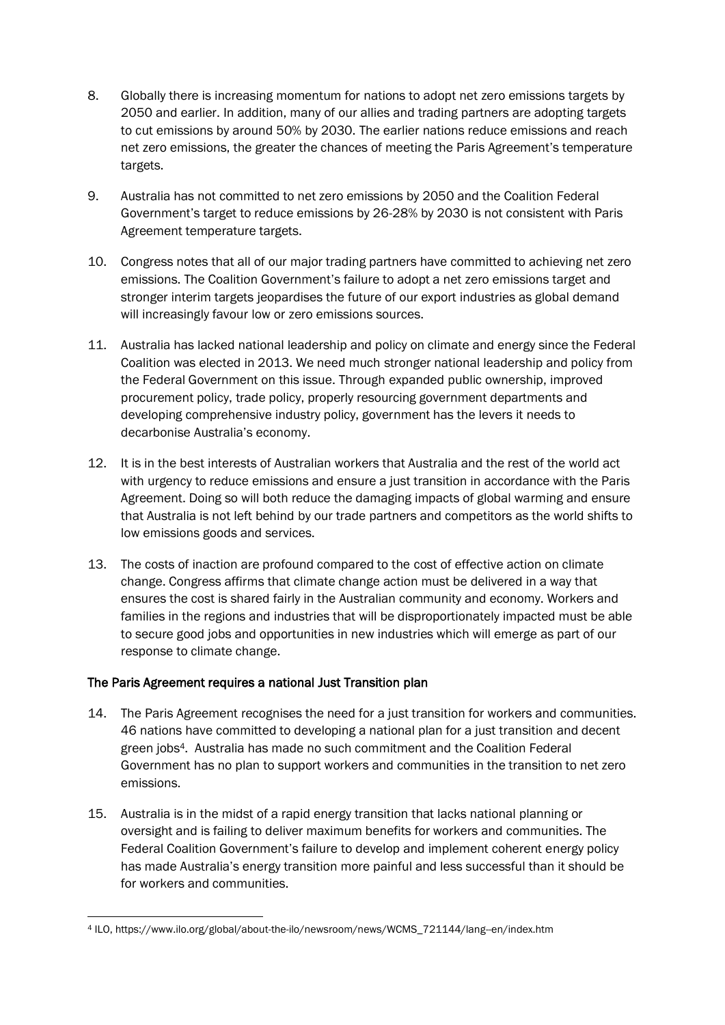- 8. Globally there is increasing momentum for nations to adopt net zero emissions targets by 2050 and earlier. In addition, many of our allies and trading partners are adopting targets to cut emissions by around 50% by 2030. The earlier nations reduce emissions and reach net zero emissions, the greater the chances of meeting the Paris Agreement's temperature targets.
- 9. Australia has not committed to net zero emissions by 2050 and the Coalition Federal Government's target to reduce emissions by 26-28% by 2030 is not consistent with Paris Agreement temperature targets.
- 10. Congress notes that all of our major trading partners have committed to achieving net zero emissions. The Coalition Government's failure to adopt a net zero emissions target and stronger interim targets jeopardises the future of our export industries as global demand will increasingly favour low or zero emissions sources.
- 11. Australia has lacked national leadership and policy on climate and energy since the Federal Coalition was elected in 2013. We need much stronger national leadership and policy from the Federal Government on this issue. Through expanded public ownership, improved procurement policy, trade policy, properly resourcing government departments and developing comprehensive industry policy, government has the levers it needs to decarbonise Australia's economy.
- 12. It is in the best interests of Australian workers that Australia and the rest of the world act with urgency to reduce emissions and ensure a just transition in accordance with the Paris Agreement. Doing so will both reduce the damaging impacts of global warming and ensure that Australia is not left behind by our trade partners and competitors as the world shifts to low emissions goods and services.
- 13. The costs of inaction are profound compared to the cost of effective action on climate change. Congress affirms that climate change action must be delivered in a way that ensures the cost is shared fairly in the Australian community and economy. Workers and families in the regions and industries that will be disproportionately impacted must be able to secure good jobs and opportunities in new industries which will emerge as part of our response to climate change.

#### The Paris Agreement requires a national Just Transition plan

- 14. The Paris Agreement recognises the need for a just transition for workers and communities. 46 nations have committed to developing a national plan for a just transition and decent green jobs4. Australia has made no such commitment and the Coalition Federal Government has no plan to support workers and communities in the transition to net zero emissions.
- 15. Australia is in the midst of a rapid energy transition that lacks national planning or oversight and is failing to deliver maximum benefits for workers and communities. The Federal Coalition Government's failure to develop and implement coherent energy policy has made Australia's energy transition more painful and less successful than it should be for workers and communities.

<sup>4</sup> ILO, https://www.ilo.org/global/about-the-ilo/newsroom/news/WCMS\_721144/lang--en/index.htm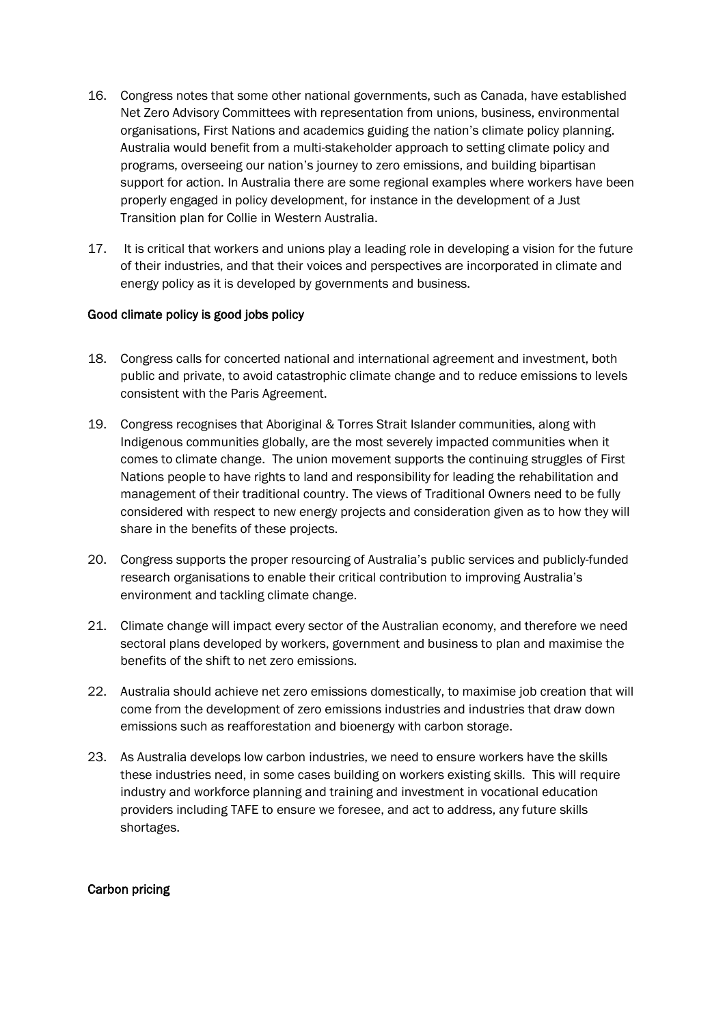- 16. Congress notes that some other national governments, such as Canada, have established Net Zero Advisory Committees with representation from unions, business, environmental organisations, First Nations and academics guiding the nation's climate policy planning. Australia would benefit from a multi-stakeholder approach to setting climate policy and programs, overseeing our nation's journey to zero emissions, and building bipartisan support for action. In Australia there are some regional examples where workers have been properly engaged in policy development, for instance in the development of a Just Transition plan for Collie in Western Australia.
- 17. It is critical that workers and unions play a leading role in developing a vision for the future of their industries, and that their voices and perspectives are incorporated in climate and energy policy as it is developed by governments and business.

#### Good climate policy is good jobs policy

- 18. Congress calls for concerted national and international agreement and investment, both public and private, to avoid catastrophic climate change and to reduce emissions to levels consistent with the Paris Agreement.
- 19. Congress recognises that Aboriginal & Torres Strait Islander communities, along with Indigenous communities globally, are the most severely impacted communities when it comes to climate change. The union movement supports the continuing struggles of First Nations people to have rights to land and responsibility for leading the rehabilitation and management of their traditional country. The views of Traditional Owners need to be fully considered with respect to new energy projects and consideration given as to how they will share in the benefits of these projects.
- 20. Congress supports the proper resourcing of Australia's public services and publicly-funded research organisations to enable their critical contribution to improving Australia's environment and tackling climate change.
- 21. Climate change will impact every sector of the Australian economy, and therefore we need sectoral plans developed by workers, government and business to plan and maximise the benefits of the shift to net zero emissions.
- 22. Australia should achieve net zero emissions domestically, to maximise job creation that will come from the development of zero emissions industries and industries that draw down emissions such as reafforestation and bioenergy with carbon storage.
- 23. As Australia develops low carbon industries, we need to ensure workers have the skills these industries need, in some cases building on workers existing skills. This will require industry and workforce planning and training and investment in vocational education providers including TAFE to ensure we foresee, and act to address, any future skills shortages.

#### Carbon pricing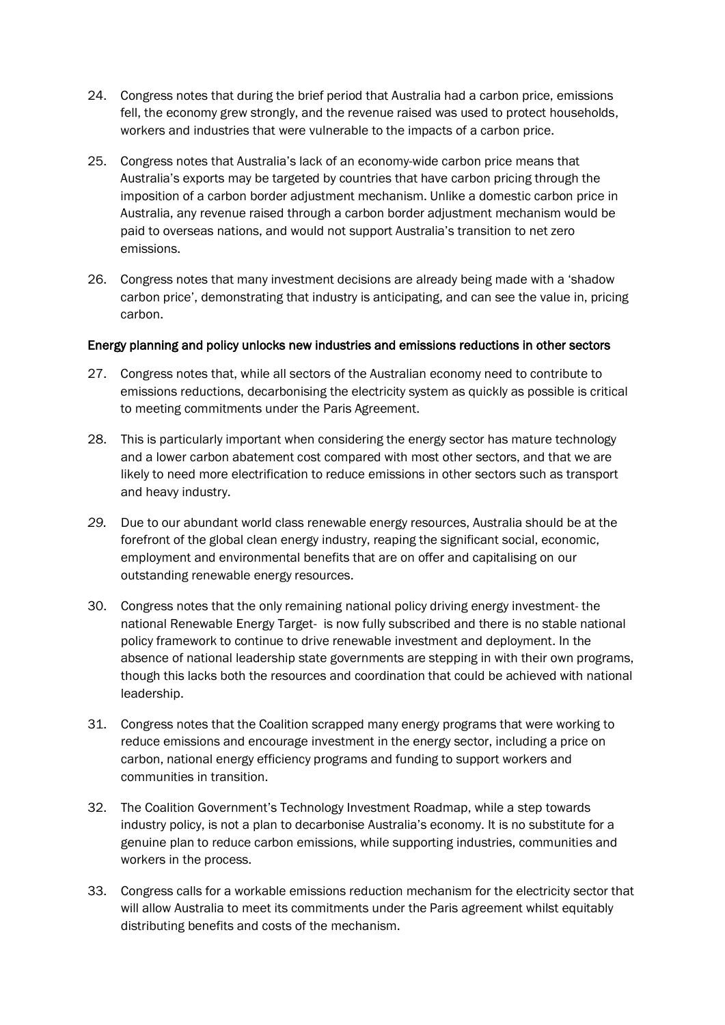- 24. Congress notes that during the brief period that Australia had a carbon price, emissions fell, the economy grew strongly, and the revenue raised was used to protect households, workers and industries that were vulnerable to the impacts of a carbon price.
- 25. Congress notes that Australia's lack of an economy-wide carbon price means that Australia's exports may be targeted by countries that have carbon pricing through the imposition of a carbon border adjustment mechanism. Unlike a domestic carbon price in Australia, any revenue raised through a carbon border adjustment mechanism would be paid to overseas nations, and would not support Australia's transition to net zero emissions.
- 26. Congress notes that many investment decisions are already being made with a 'shadow carbon price', demonstrating that industry is anticipating, and can see the value in, pricing carbon.

#### Energy planning and policy unlocks new industries and emissions reductions in other sectors

- 27. Congress notes that, while all sectors of the Australian economy need to contribute to emissions reductions, decarbonising the electricity system as quickly as possible is critical to meeting commitments under the Paris Agreement.
- 28. This is particularly important when considering the energy sector has mature technology and a lower carbon abatement cost compared with most other sectors, and that we are likely to need more electrification to reduce emissions in other sectors such as transport and heavy industry.
- *29.* Due to our abundant world class renewable energy resources, Australia should be at the forefront of the global clean energy industry, reaping the significant social, economic, employment and environmental benefits that are on offer and capitalising on our outstanding renewable energy resources.
- 30. Congress notes that the only remaining national policy driving energy investment- the national Renewable Energy Target- is now fully subscribed and there is no stable national policy framework to continue to drive renewable investment and deployment. In the absence of national leadership state governments are stepping in with their own programs, though this lacks both the resources and coordination that could be achieved with national leadership.
- 31. Congress notes that the Coalition scrapped many energy programs that were working to reduce emissions and encourage investment in the energy sector, including a price on carbon, national energy efficiency programs and funding to support workers and communities in transition.
- 32. The Coalition Government's Technology Investment Roadmap, while a step towards industry policy, is not a plan to decarbonise Australia's economy. It is no substitute for a genuine plan to reduce carbon emissions, while supporting industries, communities and workers in the process.
- 33. Congress calls for a workable emissions reduction mechanism for the electricity sector that will allow Australia to meet its commitments under the Paris agreement whilst equitably distributing benefits and costs of the mechanism.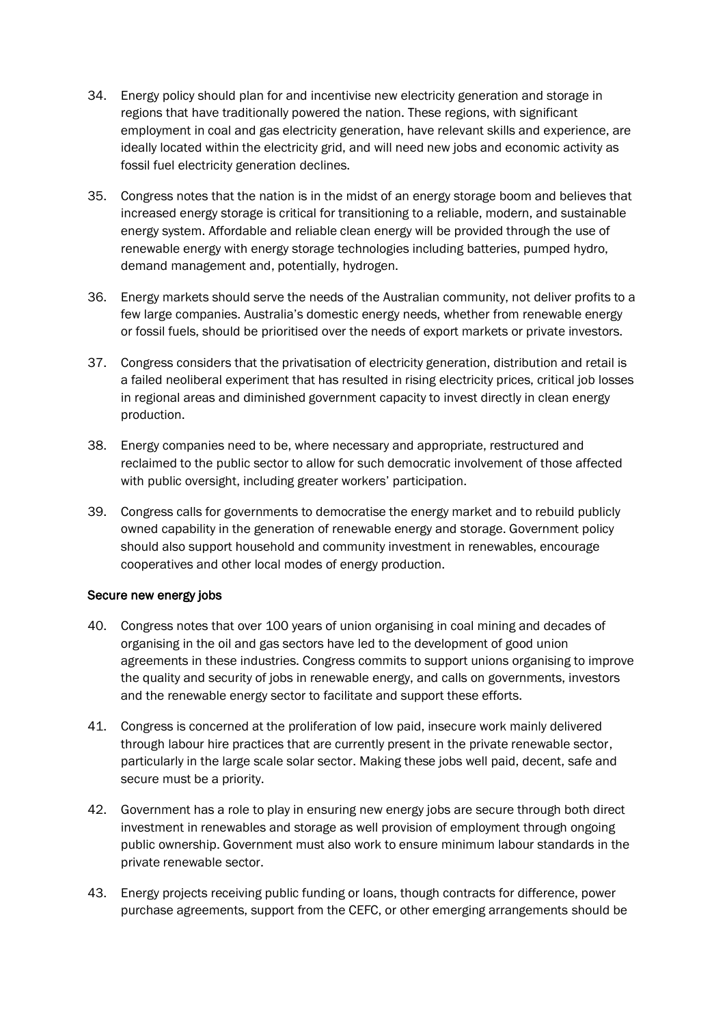- 34. Energy policy should plan for and incentivise new electricity generation and storage in regions that have traditionally powered the nation. These regions, with significant employment in coal and gas electricity generation, have relevant skills and experience, are ideally located within the electricity grid, and will need new jobs and economic activity as fossil fuel electricity generation declines.
- 35. Congress notes that the nation is in the midst of an energy storage boom and believes that increased energy storage is critical for transitioning to a reliable, modern, and sustainable energy system. Affordable and reliable clean energy will be provided through the use of renewable energy with energy storage technologies including batteries, pumped hydro, demand management and, potentially, hydrogen.
- 36. Energy markets should serve the needs of the Australian community, not deliver profits to a few large companies. Australia's domestic energy needs, whether from renewable energy or fossil fuels, should be prioritised over the needs of export markets or private investors.
- 37. Congress considers that the privatisation of electricity generation, distribution and retail is a failed neoliberal experiment that has resulted in rising electricity prices, critical job losses in regional areas and diminished government capacity to invest directly in clean energy production.
- 38. Energy companies need to be, where necessary and appropriate, restructured and reclaimed to the public sector to allow for such democratic involvement of those affected with public oversight, including greater workers' participation.
- 39. Congress calls for governments to democratise the energy market and to rebuild publicly owned capability in the generation of renewable energy and storage. Government policy should also support household and community investment in renewables, encourage cooperatives and other local modes of energy production.

#### Secure new energy jobs

- 40. Congress notes that over 100 years of union organising in coal mining and decades of organising in the oil and gas sectors have led to the development of good union agreements in these industries. Congress commits to support unions organising to improve the quality and security of jobs in renewable energy, and calls on governments, investors and the renewable energy sector to facilitate and support these efforts.
- 41. Congress is concerned at the proliferation of low paid, insecure work mainly delivered through labour hire practices that are currently present in the private renewable sector, particularly in the large scale solar sector. Making these jobs well paid, decent, safe and secure must be a priority.
- 42. Government has a role to play in ensuring new energy jobs are secure through both direct investment in renewables and storage as well provision of employment through ongoing public ownership. Government must also work to ensure minimum labour standards in the private renewable sector.
- 43. Energy projects receiving public funding or loans, though contracts for difference, power purchase agreements, support from the CEFC, or other emerging arrangements should be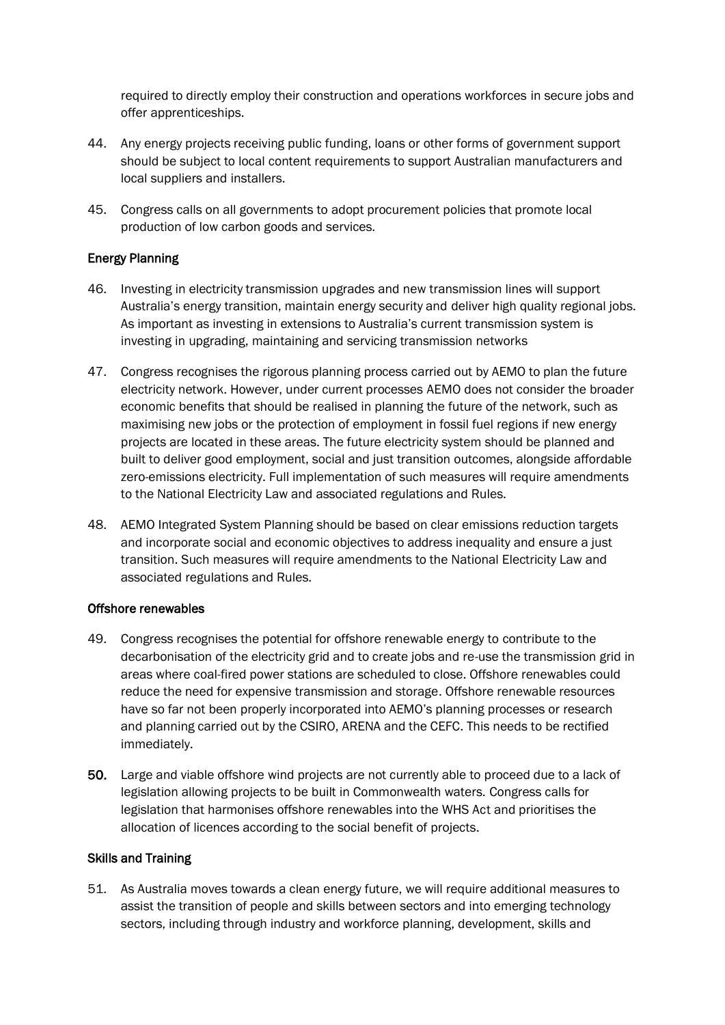required to directly employ their construction and operations workforces in secure jobs and offer apprenticeships.

- 44. Any energy projects receiving public funding, loans or other forms of government support should be subject to local content requirements to support Australian manufacturers and local suppliers and installers.
- 45. Congress calls on all governments to adopt procurement policies that promote local production of low carbon goods and services.

#### Energy Planning

- 46. Investing in electricity transmission upgrades and new transmission lines will support Australia's energy transition, maintain energy security and deliver high quality regional jobs. As important as investing in extensions to Australia's current transmission system is investing in upgrading, maintaining and servicing transmission networks
- 47. Congress recognises the rigorous planning process carried out by AEMO to plan the future electricity network. However, under current processes AEMO does not consider the broader economic benefits that should be realised in planning the future of the network, such as maximising new jobs or the protection of employment in fossil fuel regions if new energy projects are located in these areas. The future electricity system should be planned and built to deliver good employment, social and just transition outcomes, alongside affordable zero-emissions electricity. Full implementation of such measures will require amendments to the National Electricity Law and associated regulations and Rules.
- 48. AEMO Integrated System Planning should be based on clear emissions reduction targets and incorporate social and economic objectives to address inequality and ensure a just transition. Such measures will require amendments to the National Electricity Law and associated regulations and Rules.

#### Offshore renewables

- 49. Congress recognises the potential for offshore renewable energy to contribute to the decarbonisation of the electricity grid and to create jobs and re-use the transmission grid in areas where coal-fired power stations are scheduled to close. Offshore renewables could reduce the need for expensive transmission and storage. Offshore renewable resources have so far not been properly incorporated into AEMO's planning processes or research and planning carried out by the CSIRO, ARENA and the CEFC. This needs to be rectified immediately.
- 50. Large and viable offshore wind projects are not currently able to proceed due to a lack of legislation allowing projects to be built in Commonwealth waters. Congress calls for legislation that harmonises offshore renewables into the WHS Act and prioritises the allocation of licences according to the social benefit of projects.

#### Skills and Training

51. As Australia moves towards a clean energy future, we will require additional measures to assist the transition of people and skills between sectors and into emerging technology sectors, including through industry and workforce planning, development, skills and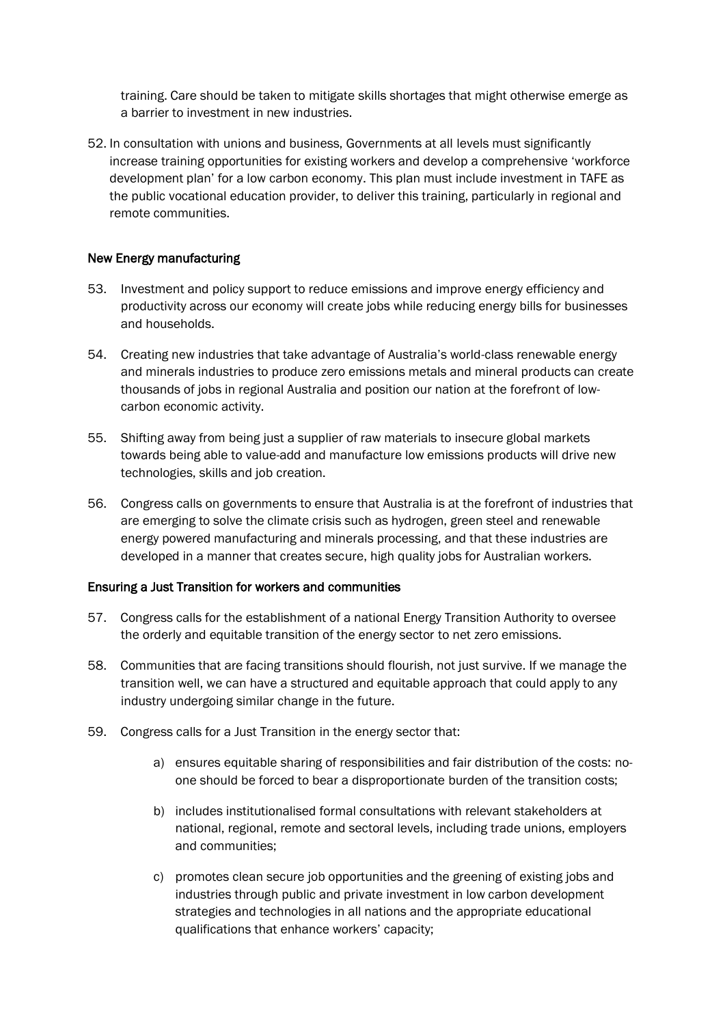training. Care should be taken to mitigate skills shortages that might otherwise emerge as a barrier to investment in new industries.

52. In consultation with unions and business, Governments at all levels must significantly increase training opportunities for existing workers and develop a comprehensive 'workforce development plan' for a low carbon economy. This plan must include investment in TAFE as the public vocational education provider, to deliver this training, particularly in regional and remote communities.

#### New Energy manufacturing

- 53. Investment and policy support to reduce emissions and improve energy efficiency and productivity across our economy will create jobs while reducing energy bills for businesses and households.
- 54. Creating new industries that take advantage of Australia's world-class renewable energy and minerals industries to produce zero emissions metals and mineral products can create thousands of jobs in regional Australia and position our nation at the forefront of lowcarbon economic activity.
- 55. Shifting away from being just a supplier of raw materials to insecure global markets towards being able to value-add and manufacture low emissions products will drive new technologies, skills and job creation.
- 56. Congress calls on governments to ensure that Australia is at the forefront of industries that are emerging to solve the climate crisis such as hydrogen, green steel and renewable energy powered manufacturing and minerals processing, and that these industries are developed in a manner that creates secure, high quality jobs for Australian workers.

#### Ensuring a Just Transition for workers and communities

- 57. Congress calls for the establishment of a national Energy Transition Authority to oversee the orderly and equitable transition of the energy sector to net zero emissions.
- 58. Communities that are facing transitions should flourish, not just survive. If we manage the transition well, we can have a structured and equitable approach that could apply to any industry undergoing similar change in the future.
- 59. Congress calls for a Just Transition in the energy sector that:
	- a) ensures equitable sharing of responsibilities and fair distribution of the costs: noone should be forced to bear a disproportionate burden of the transition costs;
	- b) includes institutionalised formal consultations with relevant stakeholders at national, regional, remote and sectoral levels, including trade unions, employers and communities;
	- c) promotes clean secure job opportunities and the greening of existing jobs and industries through public and private investment in low carbon development strategies and technologies in all nations and the appropriate educational qualifications that enhance workers' capacity;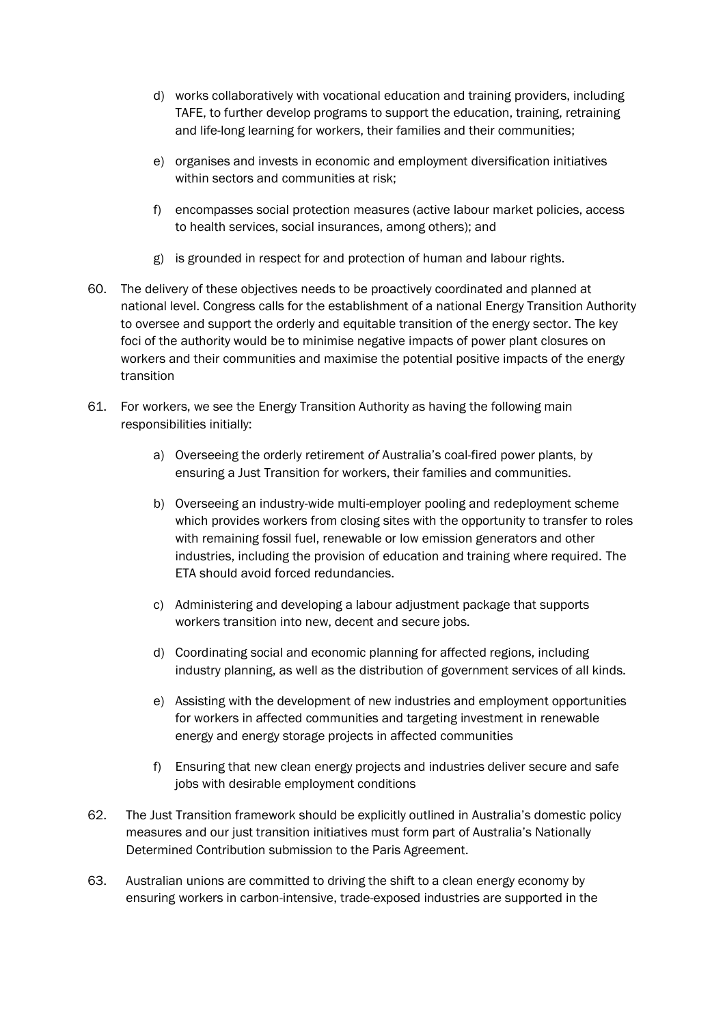- d) works collaboratively with vocational education and training providers, including TAFE, to further develop programs to support the education, training, retraining and life-long learning for workers, their families and their communities;
- e) organises and invests in economic and employment diversification initiatives within sectors and communities at risk;
- f) encompasses social protection measures (active labour market policies, access to health services, social insurances, among others); and
- g) is grounded in respect for and protection of human and labour rights.
- 60. The delivery of these objectives needs to be proactively coordinated and planned at national level. Congress calls for the establishment of a national Energy Transition Authority to oversee and support the orderly and equitable transition of the energy sector. The key foci of the authority would be to minimise negative impacts of power plant closures on workers and their communities and maximise the potential positive impacts of the energy transition
- 61. For workers, we see the Energy Transition Authority as having the following main responsibilities initially:
	- a) Overseeing the orderly retirement *of* Australia's coal-fired power plants, by ensuring a Just Transition for workers, their families and communities.
	- b) Overseeing an industry-wide multi-employer pooling and redeployment scheme which provides workers from closing sites with the opportunity to transfer to roles with remaining fossil fuel, renewable or low emission generators and other industries, including the provision of education and training where required. The ETA should avoid forced redundancies.
	- c) Administering and developing a labour adjustment package that supports workers transition into new, decent and secure jobs.
	- d) Coordinating social and economic planning for affected regions, including industry planning, as well as the distribution of government services of all kinds.
	- e) Assisting with the development of new industries and employment opportunities for workers in affected communities and targeting investment in renewable energy and energy storage projects in affected communities
	- f) Ensuring that new clean energy projects and industries deliver secure and safe jobs with desirable employment conditions
- 62. The Just Transition framework should be explicitly outlined in Australia's domestic policy measures and our just transition initiatives must form part of Australia's Nationally Determined Contribution submission to the Paris Agreement.
- 63. Australian unions are committed to driving the shift to a clean energy economy by ensuring workers in carbon-intensive, trade-exposed industries are supported in the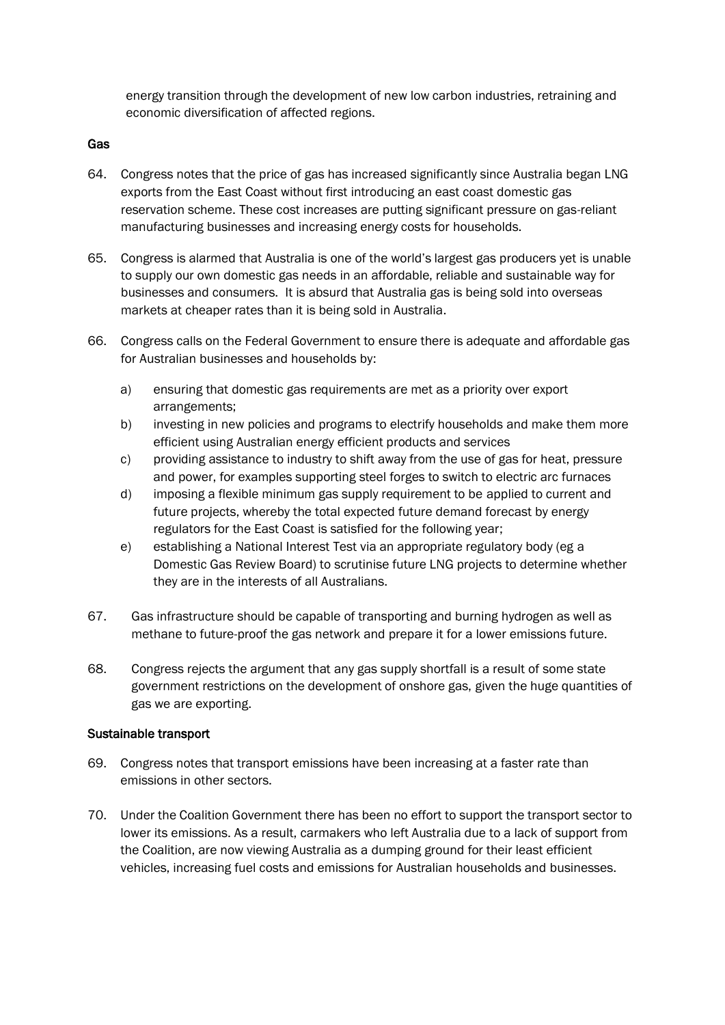energy transition through the development of new low carbon industries, retraining and economic diversification of affected regions.

#### Gas

- 64. Congress notes that the price of gas has increased significantly since Australia began LNG exports from the East Coast without first introducing an east coast domestic gas reservation scheme. These cost increases are putting significant pressure on gas-reliant manufacturing businesses and increasing energy costs for households.
- 65. Congress is alarmed that Australia is one of the world's largest gas producers yet is unable to supply our own domestic gas needs in an affordable, reliable and sustainable way for businesses and consumers. It is absurd that Australia gas is being sold into overseas markets at cheaper rates than it is being sold in Australia.
- 66. Congress calls on the Federal Government to ensure there is adequate and affordable gas for Australian businesses and households by:
	- a) ensuring that domestic gas requirements are met as a priority over export arrangements;
	- b) investing in new policies and programs to electrify households and make them more efficient using Australian energy efficient products and services
	- c) providing assistance to industry to shift away from the use of gas for heat, pressure and power, for examples supporting steel forges to switch to electric arc furnaces
	- d) imposing a flexible minimum gas supply requirement to be applied to current and future projects, whereby the total expected future demand forecast by energy regulators for the East Coast is satisfied for the following year;
	- e) establishing a National Interest Test via an appropriate regulatory body (eg a Domestic Gas Review Board) to scrutinise future LNG projects to determine whether they are in the interests of all Australians.
- 67. Gas infrastructure should be capable of transporting and burning hydrogen as well as methane to future-proof the gas network and prepare it for a lower emissions future.
- 68. Congress rejects the argument that any gas supply shortfall is a result of some state government restrictions on the development of onshore gas, given the huge quantities of gas we are exporting.

#### Sustainable transport

- 69. Congress notes that transport emissions have been increasing at a faster rate than emissions in other sectors.
- 70. Under the Coalition Government there has been no effort to support the transport sector to lower its emissions. As a result, carmakers who left Australia due to a lack of support from the Coalition, are now viewing Australia as a dumping ground for their least efficient vehicles, increasing fuel costs and emissions for Australian households and businesses.